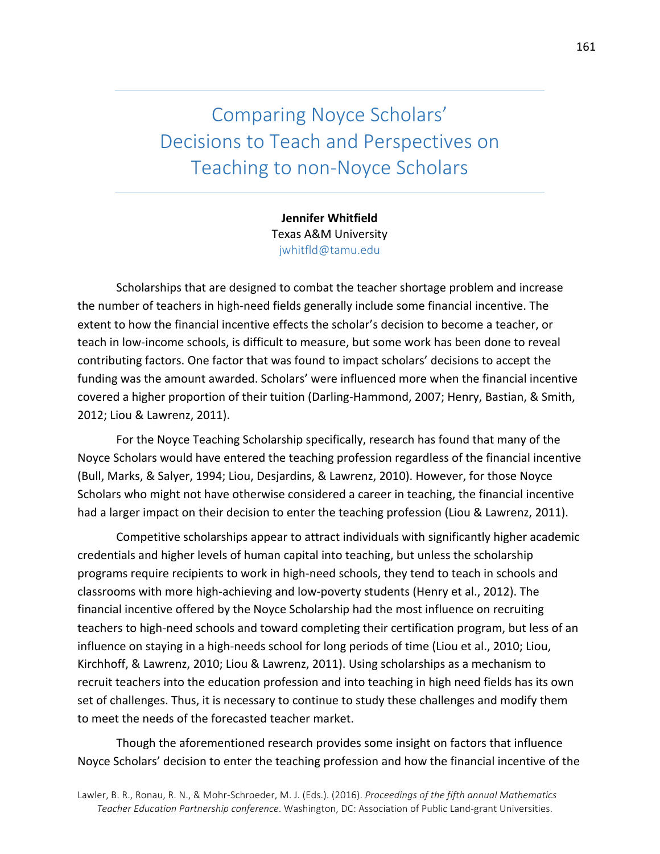Comparing Noyce Scholars' Decisions to Teach and Perspectives on Teaching to non-Noyce Scholars

> **Jennifer Whitfield** Texas A&M University jwhitfld@tamu.edu

Scholarships that are designed to combat the teacher shortage problem and increase the number of teachers in high-need fields generally include some financial incentive. The extent to how the financial incentive effects the scholar's decision to become a teacher, or teach in low-income schools, is difficult to measure, but some work has been done to reveal contributing factors. One factor that was found to impact scholars' decisions to accept the funding was the amount awarded. Scholars' were influenced more when the financial incentive covered a higher proportion of their tuition (Darling-Hammond, 2007; Henry, Bastian, & Smith, 2012; Liou & Lawrenz, 2011).

For the Noyce Teaching Scholarship specifically, research has found that many of the Noyce Scholars would have entered the teaching profession regardless of the financial incentive (Bull, Marks, & Salyer, 1994; Liou, Desjardins, & Lawrenz, 2010). However, for those Noyce Scholars who might not have otherwise considered a career in teaching, the financial incentive had a larger impact on their decision to enter the teaching profession (Liou & Lawrenz, 2011).

Competitive scholarships appear to attract individuals with significantly higher academic credentials and higher levels of human capital into teaching, but unless the scholarship programs require recipients to work in high-need schools, they tend to teach in schools and classrooms with more high-achieving and low-poverty students (Henry et al., 2012). The financial incentive offered by the Noyce Scholarship had the most influence on recruiting teachers to high-need schools and toward completing their certification program, but less of an influence on staying in a high-needs school for long periods of time (Liou et al., 2010; Liou, Kirchhoff, & Lawrenz, 2010; Liou & Lawrenz, 2011). Using scholarships as a mechanism to recruit teachers into the education profession and into teaching in high need fields has its own set of challenges. Thus, it is necessary to continue to study these challenges and modify them to meet the needs of the forecasted teacher market.

Though the aforementioned research provides some insight on factors that influence Noyce Scholars' decision to enter the teaching profession and how the financial incentive of the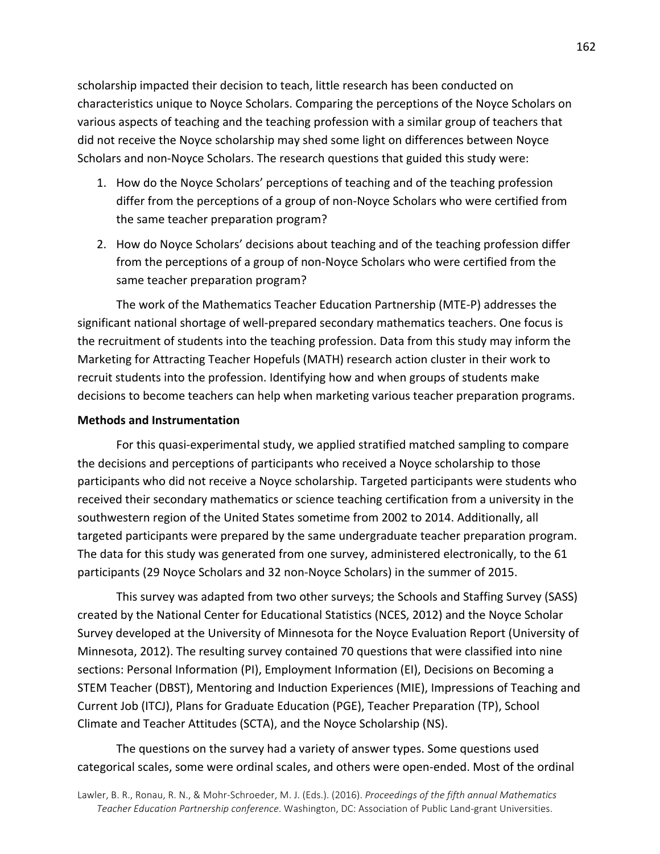scholarship impacted their decision to teach, little research has been conducted on characteristics unique to Noyce Scholars. Comparing the perceptions of the Noyce Scholars on various aspects of teaching and the teaching profession with a similar group of teachers that did not receive the Noyce scholarship may shed some light on differences between Noyce Scholars and non-Noyce Scholars. The research questions that guided this study were:

- 1. How do the Noyce Scholars' perceptions of teaching and of the teaching profession differ from the perceptions of a group of non-Noyce Scholars who were certified from the same teacher preparation program?
- 2. How do Noyce Scholars' decisions about teaching and of the teaching profession differ from the perceptions of a group of non-Noyce Scholars who were certified from the same teacher preparation program?

The work of the Mathematics Teacher Education Partnership (MTE-P) addresses the significant national shortage of well-prepared secondary mathematics teachers. One focus is the recruitment of students into the teaching profession. Data from this study may inform the Marketing for Attracting Teacher Hopefuls (MATH) research action cluster in their work to recruit students into the profession. Identifying how and when groups of students make decisions to become teachers can help when marketing various teacher preparation programs.

### **Methods and Instrumentation**

For this quasi-experimental study, we applied stratified matched sampling to compare the decisions and perceptions of participants who received a Noyce scholarship to those participants who did not receive a Noyce scholarship. Targeted participants were students who received their secondary mathematics or science teaching certification from a university in the southwestern region of the United States sometime from 2002 to 2014. Additionally, all targeted participants were prepared by the same undergraduate teacher preparation program. The data for this study was generated from one survey, administered electronically, to the 61 participants (29 Noyce Scholars and 32 non-Noyce Scholars) in the summer of 2015.

This survey was adapted from two other surveys; the Schools and Staffing Survey (SASS) created by the National Center for Educational Statistics (NCES, 2012) and the Noyce Scholar Survey developed at the University of Minnesota for the Noyce Evaluation Report (University of Minnesota, 2012). The resulting survey contained 70 questions that were classified into nine sections: Personal Information (PI), Employment Information (EI), Decisions on Becoming a STEM Teacher (DBST), Mentoring and Induction Experiences (MIE), Impressions of Teaching and Current Job (ITCJ), Plans for Graduate Education (PGE), Teacher Preparation (TP), School Climate and Teacher Attitudes (SCTA), and the Noyce Scholarship (NS).

The questions on the survey had a variety of answer types. Some questions used categorical scales, some were ordinal scales, and others were open-ended. Most of the ordinal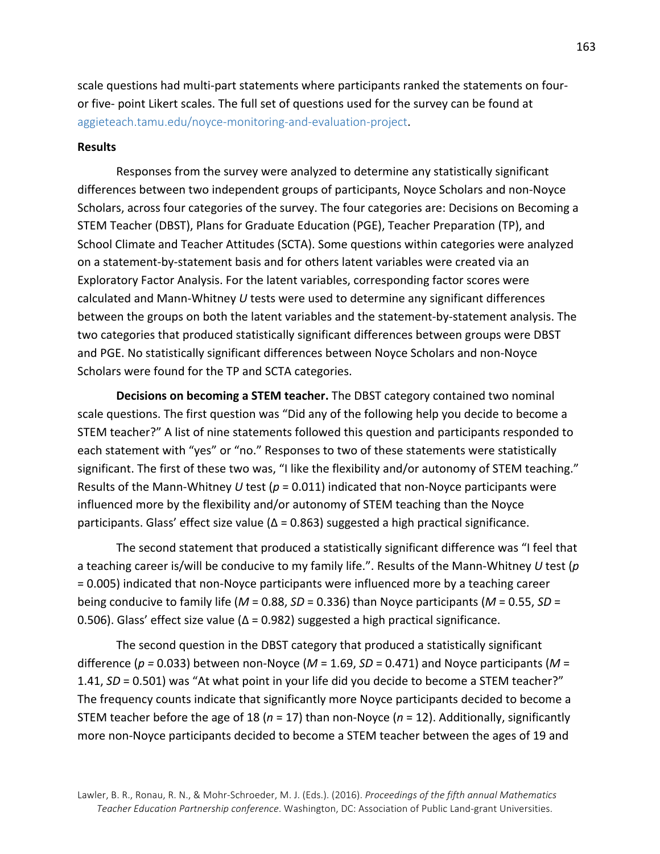scale questions had multi-part statements where participants ranked the statements on fouror five- point Likert scales. The full set of questions used for the survey can be found at aggieteach.tamu.edu/noyce-monitoring-and-evaluation-project.

## **Results**

Responses from the survey were analyzed to determine any statistically significant differences between two independent groups of participants, Noyce Scholars and non-Noyce Scholars, across four categories of the survey. The four categories are: Decisions on Becoming a STEM Teacher (DBST), Plans for Graduate Education (PGE), Teacher Preparation (TP), and School Climate and Teacher Attitudes (SCTA). Some questions within categories were analyzed on a statement-by-statement basis and for others latent variables were created via an Exploratory Factor Analysis. For the latent variables, corresponding factor scores were calculated and Mann-Whitney U tests were used to determine any significant differences between the groups on both the latent variables and the statement-by-statement analysis. The two categories that produced statistically significant differences between groups were DBST and PGE. No statistically significant differences between Noyce Scholars and non-Noyce Scholars were found for the TP and SCTA categories.

**Decisions on becoming a STEM teacher.** The DBST category contained two nominal scale questions. The first question was "Did any of the following help you decide to become a STEM teacher?" A list of nine statements followed this question and participants responded to each statement with "yes" or "no." Responses to two of these statements were statistically significant. The first of these two was, "I like the flexibility and/or autonomy of STEM teaching." Results of the Mann-Whitney *U* test ( $p = 0.011$ ) indicated that non-Noyce participants were influenced more by the flexibility and/or autonomy of STEM teaching than the Noyce participants. Glass' effect size value  $(\Delta = 0.863)$  suggested a high practical significance.

The second statement that produced a statistically significant difference was "I feel that a teaching career is/will be conducive to my family life.". Results of the Mann-Whitney U test (p) = 0.005) indicated that non-Noyce participants were influenced more by a teaching career being conducive to family life  $(M = 0.88, SD = 0.336)$  than Noyce participants  $(M = 0.55, SD =$ 0.506). Glass' effect size value ( $\Delta$  = 0.982) suggested a high practical significance.

The second question in the DBST category that produced a statistically significant difference  $(p = 0.033)$  between non-Noyce  $(M = 1.69, SD = 0.471)$  and Noyce participants  $(M = 1.69, SD = 0.471)$ 1.41, *SD* = 0.501) was "At what point in your life did you decide to become a STEM teacher?" The frequency counts indicate that significantly more Noyce participants decided to become a STEM teacher before the age of 18 ( $n = 17$ ) than non-Noyce ( $n = 12$ ). Additionally, significantly more non-Noyce participants decided to become a STEM teacher between the ages of 19 and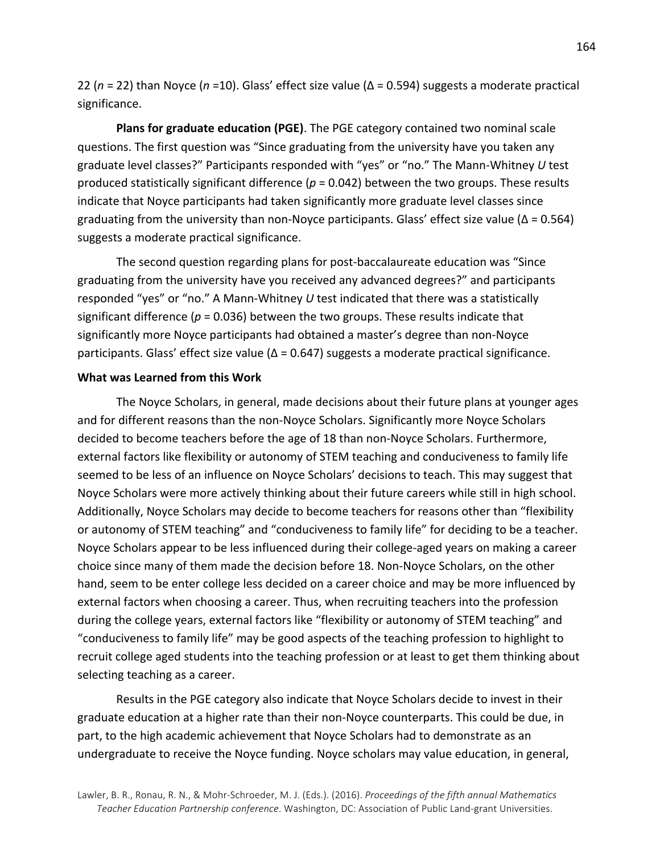22 ( $n = 22$ ) than Noyce ( $n = 10$ ). Glass' effect size value ( $\Delta = 0.594$ ) suggests a moderate practical significance.

**Plans for graduate education (PGE)**. The PGE category contained two nominal scale questions. The first question was "Since graduating from the university have you taken any graduate level classes?" Participants responded with "yes" or "no." The Mann-Whitney U test produced statistically significant difference ( $p = 0.042$ ) between the two groups. These results indicate that Noyce participants had taken significantly more graduate level classes since graduating from the university than non-Noyce participants. Glass' effect size value ( $\Delta$  = 0.564) suggests a moderate practical significance.

The second question regarding plans for post-baccalaureate education was "Since graduating from the university have you received any advanced degrees?" and participants responded "yes" or "no." A Mann-Whitney *U* test indicated that there was a statistically significant difference ( $p = 0.036$ ) between the two groups. These results indicate that significantly more Noyce participants had obtained a master's degree than non-Noyce participants. Glass' effect size value ( $Δ = 0.647$ ) suggests a moderate practical significance.

### **What was Learned from this Work**

The Noyce Scholars, in general, made decisions about their future plans at younger ages and for different reasons than the non-Noyce Scholars. Significantly more Noyce Scholars decided to become teachers before the age of 18 than non-Noyce Scholars. Furthermore, external factors like flexibility or autonomy of STEM teaching and conduciveness to family life seemed to be less of an influence on Noyce Scholars' decisions to teach. This may suggest that Noyce Scholars were more actively thinking about their future careers while still in high school. Additionally, Noyce Scholars may decide to become teachers for reasons other than "flexibility or autonomy of STEM teaching" and "conduciveness to family life" for deciding to be a teacher. Noyce Scholars appear to be less influenced during their college-aged years on making a career choice since many of them made the decision before 18. Non-Noyce Scholars, on the other hand, seem to be enter college less decided on a career choice and may be more influenced by external factors when choosing a career. Thus, when recruiting teachers into the profession during the college years, external factors like "flexibility or autonomy of STEM teaching" and "conduciveness to family life" may be good aspects of the teaching profession to highlight to recruit college aged students into the teaching profession or at least to get them thinking about selecting teaching as a career.

Results in the PGE category also indicate that Noyce Scholars decide to invest in their graduate education at a higher rate than their non-Noyce counterparts. This could be due, in part, to the high academic achievement that Noyce Scholars had to demonstrate as an undergraduate to receive the Noyce funding. Noyce scholars may value education, in general,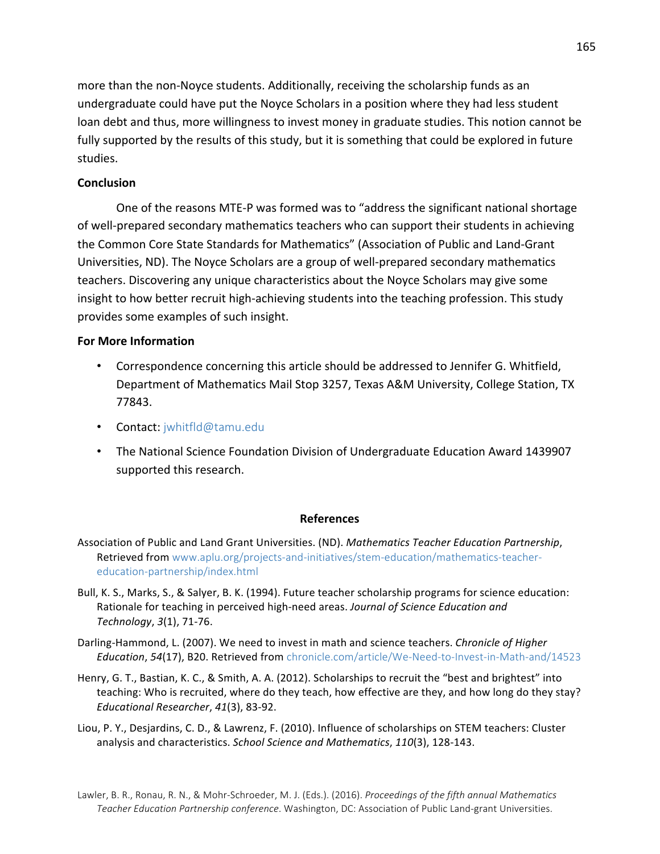more than the non-Noyce students. Additionally, receiving the scholarship funds as an undergraduate could have put the Noyce Scholars in a position where they had less student loan debt and thus, more willingness to invest money in graduate studies. This notion cannot be fully supported by the results of this study, but it is something that could be explored in future studies. 

# **Conclusion**

One of the reasons MTE-P was formed was to "address the significant national shortage of well-prepared secondary mathematics teachers who can support their students in achieving the Common Core State Standards for Mathematics" (Association of Public and Land-Grant Universities, ND). The Noyce Scholars are a group of well-prepared secondary mathematics teachers. Discovering any unique characteristics about the Noyce Scholars may give some insight to how better recruit high-achieving students into the teaching profession. This study provides some examples of such insight.

## **For More Information**

- Correspondence concerning this article should be addressed to Jennifer G. Whitfield, Department of Mathematics Mail Stop 3257, Texas A&M University, College Station, TX 77843.
- Contact: jwhitfld@tamu.edu
- The National Science Foundation Division of Undergraduate Education Award 1439907 supported this research.

## **References**

- Association of Public and Land Grant Universities. (ND). *Mathematics Teacher Education Partnership*, Retrieved from www.aplu.org/projects-and-initiatives/stem-education/mathematics-teachereducation-partnership/index.html
- Bull, K. S., Marks, S., & Salyer, B. K. (1994). Future teacher scholarship programs for science education: Rationale for teaching in perceived high-need areas. *Journal of Science Education and Technology*, *3*(1), 71-76.
- Darling-Hammond, L. (2007). We need to invest in math and science teachers. *Chronicle of Higher* Education, 54(17), B20. Retrieved from chronicle.com/article/We-Need-to-Invest-in-Math-and/14523
- Henry, G. T., Bastian, K. C., & Smith, A. A. (2012). Scholarships to recruit the "best and brightest" into teaching: Who is recruited, where do they teach, how effective are they, and how long do they stay? *Educational Researcher*, *41*(3), 83-92.
- Liou, P. Y., Desjardins, C. D., & Lawrenz, F. (2010). Influence of scholarships on STEM teachers: Cluster analysis and characteristics. *School Science and Mathematics*, 110(3), 128-143.

Lawler, B. R., Ronau, R. N., & Mohr-Schroeder, M. J. (Eds.). (2016). *Proceedings of the fifth annual Mathematics* Teacher Education Partnership conference. Washington, DC: Association of Public Land-grant Universities.